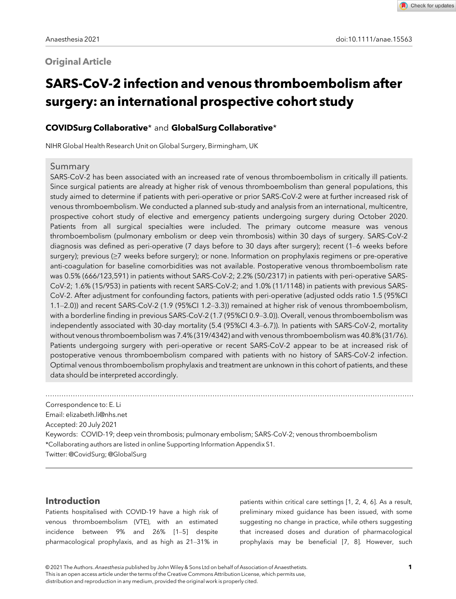# **Original Article**

Check for updates

# SARS-CoV-2 infection and venous thromboembolism after surgery: an international prospective cohort study

## COVIDSurg Collaborative\* and GlobalSurg Collaborative\*

NIHR Global Health Research Unit on Global Surgery, Birmingham, UK

### Summary

SARS-CoV-2 has been associated with an increased rate of venous thromboembolism in critically ill patients. Since surgical patients are already at higher risk of venous thromboembolism than general populations, this study aimed to determine if patients with peri-operative or prior SARS-CoV-2 were at further increased risk of venous thromboembolism. We conducted a planned sub-study and analysis from an international, multicentre, prospective cohort study of elective and emergency patients undergoing surgery during October 2020. Patients from all surgical specialties were included. The primary outcome measure was venous thromboembolism (pulmonary embolism or deep vein thrombosis) within 30 days of surgery. SARS-CoV-2 diagnosis was defined as peri-operative (7 days before to 30 days after surgery); recent (1–6 weeks before surgery); previous (≥7 weeks before surgery); or none. Information on prophylaxis regimens or pre-operative anti-coagulation for baseline comorbidities was not available. Postoperative venous thromboembolism rate was 0.5% (666/123,591) in patients without SARS-CoV-2; 2.2% (50/2317) in patients with peri-operative SARS-CoV-2; 1.6% (15/953) in patients with recent SARS-CoV-2; and 1.0% (11/1148) in patients with previous SARS-CoV-2. After adjustment for confounding factors, patients with peri-operative (adjusted odds ratio 1.5 (95%CI 1.1–2.0)) and recent SARS-CoV-2 (1.9 (95%CI 1.2–3.3)) remained at higher risk of venous thromboembolism, with a borderline finding in previous SARS-CoV-2 (1.7 (95%CI 0.9–3.0)). Overall, venous thromboembolism was independently associated with 30-day mortality (5.4 (95%CI 4.3–6.7)). In patients with SARS-CoV-2, mortality without venous thromboembolism was 7.4% (319/4342) and with venous thromboembolism was 40.8% (31/76). Patients undergoing surgery with peri-operative or recent SARS-CoV-2 appear to be at increased risk of postoperative venous thromboembolism compared with patients with no history of SARS-CoV-2 infection. Optimal venous thromboembolism prophylaxis and treatment are unknown in this cohort of patients, and these data should be interpreted accordingly.

................................................................................................................................................................. Correspondence to: E. Li Email: [elizabeth.li@nhs.net](mailto:) Accepted: 20 July 2021 Keywords: COVID-19; deep vein thrombosis; pulmonary embolism; SARS-CoV-2; venous thromboembolism \*Collaborating authors are listed in online Supporting Information Appendix S1. Twitter: @CovidSurg; @GlobalSurg

## Introduction

Patients hospitalised with COVID-19 have a high risk of venous thromboembolism (VTE), with an estimated incidence between 9% and 26% [1–5] despite pharmacological prophylaxis, and as high as 21–31% in

patients within critical care settings [1, 2, 4, 6]. As a result, preliminary mixed guidance has been issued, with some suggesting no change in practice, while others suggesting that increased doses and duration of pharmacological prophylaxis may be beneficial [7, 8]. However, such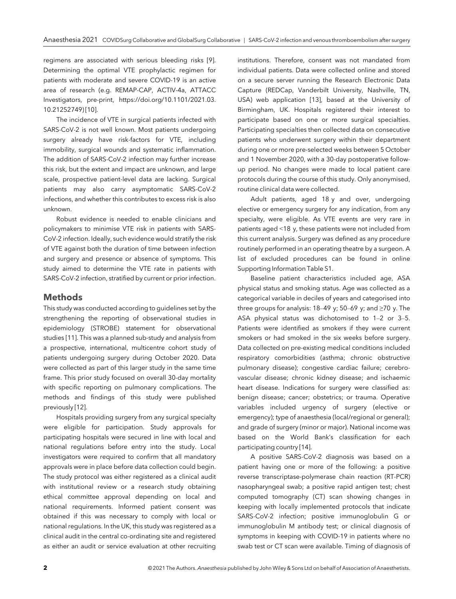regimens are associated with serious bleeding risks [9]. Determining the optimal VTE prophylactic regimen for patients with moderate and severe COVID-19 is an active area of research (e.g. REMAP-CAP, ACTIV-4a, ATTACC Investigators, pre-print, [https://doi.org/10.1101/2021.03.](https://doi.org/10.1101/2021.03.10.21252749) [10.21252749](https://doi.org/10.1101/2021.03.10.21252749)) [10].

The incidence of VTE in surgical patients infected with SARS-CoV-2 is not well known. Most patients undergoing surgery already have risk-factors for VTE, including immobility, surgical wounds and systematic inflammation. The addition of SARS-CoV-2 infection may further increase this risk, but the extent and impact are unknown, and large scale, prospective patient-level data are lacking. Surgical patients may also carry asymptomatic SARS-CoV-2 infections, and whether this contributes to excess risk is also unknown.

Robust evidence is needed to enable clinicians and policymakers to minimise VTE risk in patients with SARS-CoV-2 infection. Ideally, such evidence would stratify the risk of VTE against both the duration of time between infection and surgery and presence or absence of symptoms. This study aimed to determine the VTE rate in patients with SARS-CoV-2 infection, stratified by current or prior infection.

## Methods

This study was conducted according to guidelines set by the strengthening the reporting of observational studies in epidemiology (STROBE) statement for observational studies [11]. This was a planned sub-study and analysis from a prospective, international, multicentre cohort study of patients undergoing surgery during October 2020. Data were collected as part of this larger study in the same time frame. This prior study focused on overall 30-day mortality with specific reporting on pulmonary complications. The methods and findings of this study were published previously [12].

Hospitals providing surgery from any surgical specialty were eligible for participation. Study approvals for participating hospitals were secured in line with local and national regulations before entry into the study. Local investigators were required to confirm that all mandatory approvals were in place before data collection could begin. The study protocol was either registered as a clinical audit with institutional review or a research study obtaining ethical committee approval depending on local and national requirements. Informed patient consent was obtained if this was necessary to comply with local or national regulations. In the UK, this study was registered as a clinical audit in the central co-ordinating site and registered as either an audit or service evaluation at other recruiting

institutions. Therefore, consent was not mandated from individual patients. Data were collected online and stored on a secure server running the Research Electronic Data Capture (REDCap, Vanderbilt University, Nashville, TN, USA) web application [13], based at the University of Birmingham, UK. Hospitals registered their interest to participate based on one or more surgical specialties. Participating specialties then collected data on consecutive patients who underwent surgery within their department during one or more pre-selected weeks between 5 October and 1 November 2020, with a 30-day postoperative followup period. No changes were made to local patient care protocols during the course of this study. Only anonymised, routine clinical data were collected.

Adult patients, aged 18 y and over, undergoing elective or emergency surgery for any indication, from any specialty, were eligible. As VTE events are very rare in patients aged <18 y, these patients were not included from this current analysis. Surgery was defined as any procedure routinely performed in an operating theatre by a surgeon. A list of excluded procedures can be found in online Supporting Information Table S1.

Baseline patient characteristics included age, ASA physical status and smoking status. Age was collected as a categorical variable in deciles of years and categorised into three groups for analysis:  $18-49$  y;  $50-69$  y; and  $\geq 70$  y. The ASA physical status was dichotomised to 1–2 or 3–5. Patients were identified as smokers if they were current smokers or had smoked in the six weeks before surgery. Data collected on pre-existing medical conditions included respiratory comorbidities (asthma; chronic obstructive pulmonary disease); congestive cardiac failure; cerebrovascular disease; chronic kidney disease; and ischaemic heart disease. Indications for surgery were classified as: benign disease; cancer; obstetrics; or trauma. Operative variables included urgency of surgery (elective or emergency); type of anaesthesia (local/regional or general); and grade of surgery (minor or major). National income was based on the World Bank's classification for each participating country [14].

A positive SARS-CoV-2 diagnosis was based on a patient having one or more of the following: a positive reverse transcriptase-polymerase chain reaction (RT-PCR) nasopharyngeal swab; a positive rapid antigen test; chest computed tomography (CT) scan showing changes in keeping with locally implemented protocols that indicate SARS-CoV-2 infection; positive immunoglobulin G or immunoglobulin M antibody test; or clinical diagnosis of symptoms in keeping with COVID-19 in patients where no swab test or CT scan were available. Timing of diagnosis of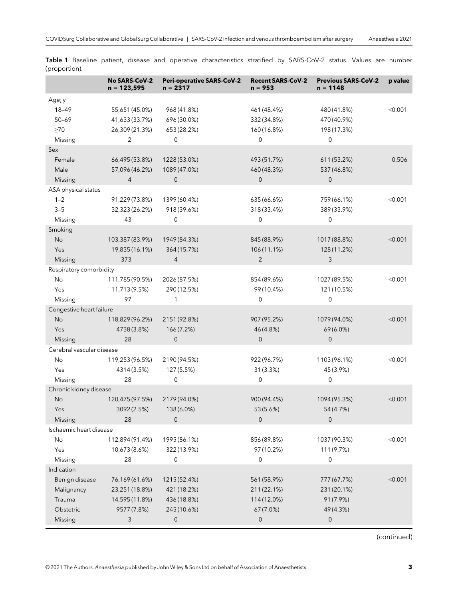|                           | <b>No SARS-CoV-2</b><br>$n = 123,595$ | <b>Peri-operative SARS-CoV-2</b><br>$n = 2317$ | <b>Recent SARS-CoV-2</b><br>$n = 953$ | <b>Previous SARS-CoV-2</b><br>$n = 1148$ | p value |  |
|---------------------------|---------------------------------------|------------------------------------------------|---------------------------------------|------------------------------------------|---------|--|
| Age; y                    |                                       |                                                |                                       |                                          |         |  |
| $18 - 49$                 | 55,651 (45.0%)                        | 968 (41.8%)                                    | 461 (48.4%)                           | 480 (41.8%)                              | < 0.001 |  |
| $50 - 69$                 | 41,633 (33.7%)                        | 696 (30.0%)                                    | 332 (34.8%)                           | 470 (40.9%)                              |         |  |
| $\geq 70$                 | 26,309 (21.3%)                        | 653 (28.2%)                                    | 160 (16.8%)                           | 198 (17.3%)                              |         |  |
| Missing                   | $\overline{2}$                        | 0                                              | $\mathbf 0$                           | $\mathsf{O}\xspace$                      |         |  |
| Sex                       |                                       |                                                |                                       |                                          |         |  |
| Female                    | 66,495 (53.8%)                        | 1228 (53.0%)                                   | 493 (51.7%)                           | 611 (53.2%)                              | 0.506   |  |
| Male                      | 57,096 (46.2%)                        | 1089 (47.0%)                                   | 460 (48.3%)                           | 537 (46.8%)                              |         |  |
| Missing                   | $\overline{4}$                        | $\mathbf 0$                                    | $\mathbf 0$                           | $\mathbf{0}$                             |         |  |
| ASA physical status       |                                       |                                                |                                       |                                          |         |  |
| $1 - 2$                   | 91,229 (73.8%)                        | 1399 (60.4%)                                   | 635 (66.6%)                           | 759 (66.1%)                              | < 0.001 |  |
| $3 - 5$                   | 32,323 (26.2%)                        | 918 (39.6%)                                    | 318 (33.4%)                           | 389 (33.9%)                              |         |  |
| Missing                   | 43                                    | 0                                              | $\mathbf 0$                           | 0                                        |         |  |
| Smoking                   |                                       |                                                |                                       |                                          |         |  |
| No                        | 103,387 (83.9%)                       | 1949 (84.3%)                                   | 845 (88.9%)                           | 1017 (88.8%)                             | < 0.001 |  |
| Yes                       | 19,835 (16.1%)                        | 364 (15.7%)                                    | 106 (11.1%)                           | 128 (11.2%)                              |         |  |
| Missing                   | 373                                   | $\overline{4}$                                 | $\overline{2}$                        | 3                                        |         |  |
| Respiratory comorbidity   |                                       |                                                |                                       |                                          |         |  |
| No                        | 111,785 (90.5%)                       | 2026 (87.5%)                                   | 854 (89.6%)                           | 1027 (89.5%)                             | < 0.001 |  |
| Yes                       | 11,713(9.5%)                          | 290 (12.5%)                                    | 99 (10.4%)                            | 121 (10.5%)                              |         |  |
| Missing                   | 97                                    | 1                                              | $\mathbf 0$                           | $\mathbf 0$                              |         |  |
| Congestive heart failure  |                                       |                                                |                                       |                                          |         |  |
| <b>No</b>                 | 118,829 (96.2%)                       | 2151 (92.8%)                                   | 907 (95.2%)                           | 1079 (94.0%)                             | < 0.001 |  |
| Yes                       | 4738 (3.8%)                           | 166 (7.2%)                                     | 46 (4.8%)                             | 69 (6.0%)                                |         |  |
| Missing                   | 28                                    | $\mathbf 0$                                    | $\overline{0}$                        | $\mathsf{O}\xspace$                      |         |  |
| Cerebral vascular disease |                                       |                                                |                                       |                                          |         |  |
| No                        | 119,253 (96.5%)                       | 2190 (94.5%)                                   | 922 (96.7%)                           | 1103 (96.1%)                             | < 0.001 |  |
| Yes                       | 4314 (3.5%)                           | 127 (5.5%)                                     | 31 (3.3%)                             | 45 (3.9%)                                |         |  |
| Missing                   | 28                                    | $\mathbf 0$                                    | $\mathbf 0$                           | $\mathbf 0$                              |         |  |
| Chronic kidney disease    |                                       |                                                |                                       |                                          |         |  |
| No                        | 120,475 (97.5%)                       | 2179 (94.0%)                                   | 900 (94.4%)                           | 1094 (95.3%)                             | < 0.001 |  |
| Yes                       | 3092 (2.5%)                           | 138 (6.0%)                                     | 53 (5.6%)                             | 54 (4.7%)                                |         |  |
| Missing                   | 28                                    | 0                                              | $\mathbf 0$                           | $\boldsymbol{0}$                         |         |  |
| Ischaemic heart disease   |                                       |                                                |                                       |                                          |         |  |
| No                        | 112,894 (91.4%)                       | 1995 (86.1%)                                   | 856 (89.8%)                           | 1037 (90.3%)                             | < 0.001 |  |
| Yes                       | 10,673 (8.6%)                         | 322 (13.9%)                                    | 97 (10.2%)                            | 111 (9.7%)                               |         |  |
| Missing                   | 28                                    | $\mathbf 0$                                    | $\mathbf 0$                           | $\mathbf 0$                              |         |  |
| Indication                |                                       |                                                |                                       |                                          |         |  |
| Benign disease            | 76,169 (61.6%)                        | 1215 (52.4%)                                   | 561 (58.9%)                           | 777 (67.7%)                              | < 0.001 |  |
| Malignancy                | 23,251 (18.8%)                        | 421 (18.2%)                                    | 211 (22.1%)                           | 231 (20.1%)                              |         |  |
| Trauma                    | 14,595 (11.8%)                        | 436 (18.8%)                                    | 114 (12.0%)                           | 91 (7.9%)                                |         |  |
| Obstetric                 | 9577 (7.8%)                           | 245 (10.6%)                                    | 67 (7.0%)                             | 49 (4.3%)                                |         |  |
| Missing                   | 3                                     | $\boldsymbol{0}$                               | $\pmb{0}$                             | $\boldsymbol{0}$                         |         |  |
|                           |                                       |                                                |                                       |                                          |         |  |

Table 1 Baseline patient, disease and operative characteristics stratified by SARS-CoV-2 status. Values are number (proportion).

(continued)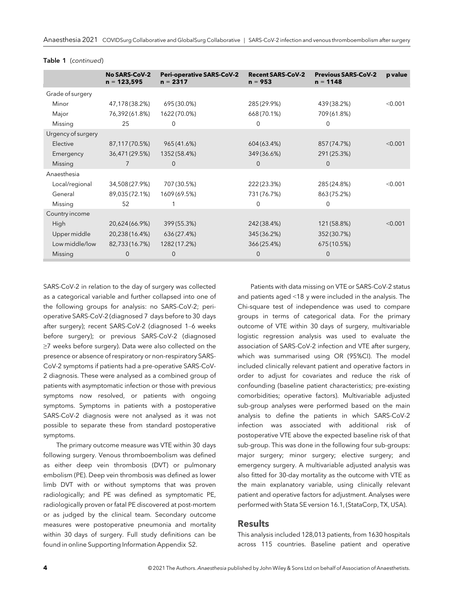|                    | <b>No SARS-CoV-2</b><br>$n = 123,595$ | <b>Peri-operative SARS-CoV-2</b><br>$n = 2317$ | <b>Recent SARS-CoV-2</b><br>$n = 953$ | <b>Previous SARS-CoV-2</b><br>$n = 1148$ | p value |
|--------------------|---------------------------------------|------------------------------------------------|---------------------------------------|------------------------------------------|---------|
| Grade of surgery   |                                       |                                                |                                       |                                          |         |
| Minor              | 47,178(38.2%)                         | 695 (30.0%)                                    | 285 (29.9%)                           | 439 (38.2%)                              | < 0.001 |
| Major              | 76,392(61.8%)                         | 1622 (70.0%)                                   | 668 (70.1%)                           | 709 (61.8%)                              |         |
| Missing            | 25                                    | $\mathbf 0$                                    | $\mathbf 0$                           | 0                                        |         |
| Urgency of surgery |                                       |                                                |                                       |                                          |         |
| Elective           | 87,117(70.5%)                         | 965 (41.6%)                                    | 604 (63.4%)                           | 857 (74.7%)                              | < 0.001 |
| Emergency          | 36,471 (29.5%)                        | 1352 (58.4%)                                   | 349 (36.6%)                           | 291 (25.3%)                              |         |
| Missing            | 7                                     | $\mathbf{0}$                                   | $\overline{0}$                        | $\mathbf{0}$                             |         |
| Anaesthesia        |                                       |                                                |                                       |                                          |         |
| Local/regional     | 34,508(27.9%)                         | 707 (30.5%)                                    | 222 (23.3%)                           | 285 (24.8%)                              | < 0.001 |
| General            | 89,035 (72.1%)                        | 1609 (69.5%)                                   | 731 (76.7%)                           | 863 (75.2%)                              |         |
| Missing            | 52                                    |                                                | $\Omega$                              | 0                                        |         |
| Country income     |                                       |                                                |                                       |                                          |         |
| High               | 20,624 (66.9%)                        | 399 (55.3%)                                    | 242 (38.4%)                           | 121 (58.8%)                              | < 0.001 |
| Upper middle       | 20,238 (16.4%)                        | 636(27.4%)                                     | 345 (36.2%)                           | 352 (30.7%)                              |         |
| Low middle/low     | 82,733 (16.7%)                        | 1282 (17.2%)                                   | 366 (25.4%)                           | 675 (10.5%)                              |         |
| Missing            | 0                                     | 0                                              | $\Omega$                              | $\Omega$                                 |         |

#### Table 1 (continued)

SARS-CoV-2 in relation to the day of surgery was collected as a categorical variable and further collapsed into one of the following groups for analysis: no SARS-CoV-2; perioperative SARS-CoV-2 (diagnosed 7 days before to 30 days after surgery); recent SARS-CoV-2 (diagnosed 1–6 weeks before surgery); or previous SARS-CoV-2 (diagnosed ≥7 weeks before surgery). Data were also collected on the presence or absence of respiratory or non-respiratory SARS-CoV-2 symptoms if patients had a pre-operative SARS-CoV-2 diagnosis. These were analysed as a combined group of patients with asymptomatic infection or those with previous symptoms now resolved, or patients with ongoing symptoms. Symptoms in patients with a postoperative SARS-CoV-2 diagnosis were not analysed as it was not possible to separate these from standard postoperative symptoms.

The primary outcome measure was VTE within 30 days following surgery. Venous thromboembolism was defined as either deep vein thrombosis (DVT) or pulmonary embolism (PE). Deep vein thrombosis was defined as lower limb DVT with or without symptoms that was proven radiologically; and PE was defined as symptomatic PE, radiologically proven or fatal PE discovered at post-mortem or as judged by the clinical team. Secondary outcome measures were postoperative pneumonia and mortality within 30 days of surgery. Full study definitions can be found in online Supporting Information Appendix S2.

Patients with data missing on VTE or SARS-CoV-2 status and patients aged <18 y were included in the analysis. The Chi-square test of independence was used to compare groups in terms of categorical data. For the primary outcome of VTE within 30 days of surgery, multivariable logistic regression analysis was used to evaluate the association of SARS-CoV-2 infection and VTE after surgery, which was summarised using OR (95%CI). The model included clinically relevant patient and operative factors in order to adjust for covariates and reduce the risk of confounding (baseline patient characteristics; pre-existing comorbidities; operative factors). Multivariable adjusted sub-group analyses were performed based on the main analysis to define the patients in which SARS-CoV-2 infection was associated with additional risk of postoperative VTE above the expected baseline risk of that sub-group. This was done in the following four sub-groups: major surgery; minor surgery; elective surgery; and emergency surgery. A multivariable adjusted analysis was also fitted for 30-day mortality as the outcome with VTE as the main explanatory variable, using clinically relevant patient and operative factors for adjustment. Analyses were performed with Stata SE version 16.1, (StataCorp, TX, USA).

#### Results

This analysis included 128,013 patients, from 1630 hospitals across 115 countries. Baseline patient and operative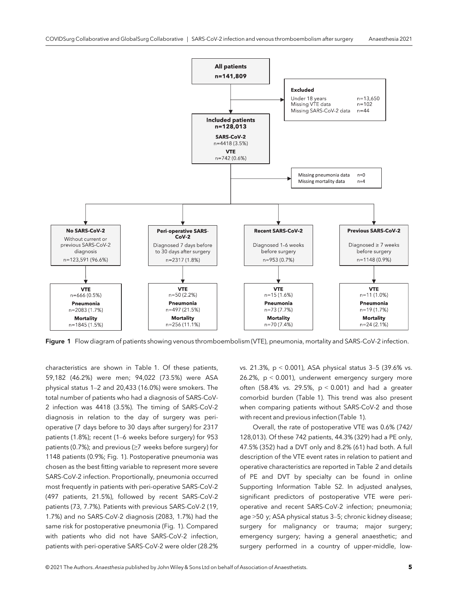

Figure 1 Flow diagram of patients showing venous thromboembolism (VTE), pneumonia, mortality and SARS-CoV-2 infection.

characteristics are shown in Table 1. Of these patients, 59,182 (46.2%) were men; 94,022 (73.5%) were ASA physical status 1–2 and 20,433 (16.0%) were smokers. The total number of patients who had a diagnosis of SARS-CoV-2 infection was 4418 (3.5%). The timing of SARS-CoV-2 diagnosis in relation to the day of surgery was perioperative (7 days before to 30 days after surgery) for 2317 patients (1.8%); recent (1–6 weeks before surgery) for 953 patients (0.7%); and previous (≥7 weeks before surgery) for 1148 patients (0.9%; Fig. 1). Postoperative pneumonia was chosen as the best fitting variable to represent more severe SARS-CoV-2 infection. Proportionally, pneumonia occurred most frequently in patients with peri-operative SARS-CoV-2 (497 patients, 21.5%), followed by recent SARS-CoV-2 patients (73, 7.7%). Patients with previous SARS-CoV-2 (19, 1.7%) and no SARS-CoV-2 diagnosis (2083, 1.7%) had the same risk for postoperative pneumonia (Fig. 1). Compared with patients who did not have SARS-CoV-2 infection, patients with peri-operative SARS-CoV-2 were older (28.2%

vs. 21.3%, p < 0.001), ASA physical status 3–5 (39.6% vs. 26.2%, p < 0.001), underwent emergency surgery more often (58.4% vs. 29.5%,  $p < 0.001$ ) and had a greater comorbid burden (Table 1). This trend was also present when comparing patients without SARS-CoV-2 and those with recent and previous infection (Table 1).

Overall, the rate of postoperative VTE was 0.6% (742/ 128,013). Of these 742 patients, 44.3% (329) had a PE only, 47.5% (352) had a DVT only and 8.2% (61) had both. A full description of the VTE event rates in relation to patient and operative characteristics are reported in Table 2 and details of PE and DVT by specialty can be found in online Supporting Information Table S2. In adjusted analyses, significant predictors of postoperative VTE were perioperative and recent SARS-CoV-2 infection; pneumonia; age >50 y; ASA physical status 3–5; chronic kidney disease; surgery for malignancy or trauma; major surgery; emergency surgery; having a general anaesthetic; and surgery performed in a country of upper-middle, low-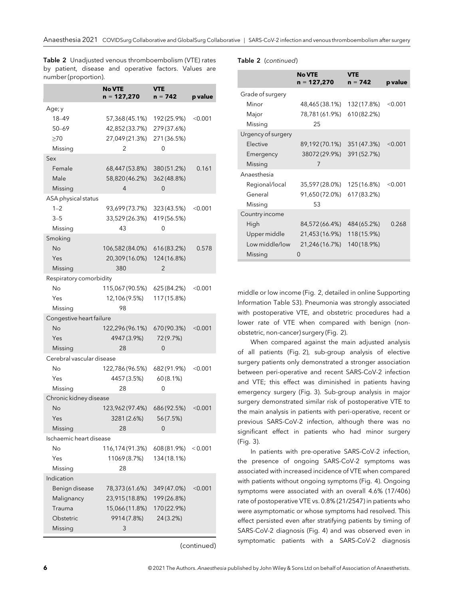No VTE  $n = 127,270$ VTE<br>n = 742 p value Age; y 18–49 57,368 (45.1%) 192 (25.9%) <0.001 50–69 42,852 (33.7%) 279 (37.6%) ≥70 27,049 (21.3%) 271 (36.5%) Missing 2 0 Sex Female 68,447 (53.8%) 380 (51.2%) 0.161 Male 58,820 (46.2%) 362 (48.8%) Missing 4 0 ASA physical status 1–2 93,699 (73.7%) 323 (43.5%) <0.001 3–5 33,529 (26.3%) 419 (56.5%) Missing 43 0 Smoking No 106,582 (84.0%) 616 (83.2%) 0.578 Yes 20,309 (16.0%) 124 (16.8%) Missing 380 2 Respiratory comorbidity No 115,067 (90.5%) 625 (84.2%) <0.001 Yes 12,106 (9.5%) 117 (15.8%) Missing 98 Congestive heart failure No 122,296 (96.1%) 670 (90.3%) <0.001 Yes 4947 (3.9%) 72 (9.7%) Missing 28 0 Cerebral vascular disease No 122,786 (96.5%) 682 (91.9%) <0.001 Yes 4457 (3.5%) 60 (8.1%) Missing 28 0 Chronic kidney disease No 123,962 (97.4%) 686 (92.5%) <0.001 Yes 3281 (2.6%) 56 (7.5%) Missing 28 0 Ischaemic heart disease No 116,174 (91.3%) 608 (81.9%) < 0.001 Yes 11069 (8.7%) 134 (18.1%) Missing 28 Indication Benign disease 78,373 (61.6%) 349 (47.0%) <0.001 Malignancy 23,915 (18.8%) 199 (26.8%) Trauma 15,066 (11.8%) 170 (22.9%) Obstetric 9914 (7.8%) 24 (3.2%) Missing 3

(continued)

Table 2 (continued)

|                    | <b>No VTE</b><br>n = 127,270 | <b>VTE</b><br>$n = 742$ | p value |
|--------------------|------------------------------|-------------------------|---------|
| Grade of surgery   |                              |                         |         |
| Minor              | 48,465 (38.1%)               | 132 (17.8%)             | < 0.001 |
| Major              | 78,781 (61.9%)               | 610 (82.2%)             |         |
| Missing            | 25                           |                         |         |
| Urgency of surgery |                              |                         |         |
| <b>Flective</b>    | 89,192(70.1%)                | 351 (47.3%)             | < 0.001 |
| Emergency          | 38072(29.9%)                 | 391 (52.7%)             |         |
| Missing            | 7                            |                         |         |
| Anaesthesia        |                              |                         |         |
| Regional/local     | 35,597 (28.0%)               | 125 (16.8%)             | < 0.001 |
| General            | 91,650(72.0%)                | 617 (83.2%)             |         |
| Missing            | 53                           |                         |         |
| Country income     |                              |                         |         |
| High               | 84,572 (66.4%)               | 484 (65.2%)             | 0.268   |
| Upper middle       | 21,453 (16.9%)               | 118 (15.9%)             |         |
| Low middle/low     | 21,246(16.7%)                | 140 (18.9%)             |         |
| Missing            | U                            |                         |         |

middle or low income (Fig. 2, detailed in online Supporting Information Table S3). Pneumonia was strongly associated with postoperative VTE, and obstetric procedures had a lower rate of VTE when compared with benign (nonobstetric, non-cancer) surgery (Fig. 2).

When compared against the main adjusted analysis of all patients (Fig. 2), sub-group analysis of elective surgery patients only demonstrated a stronger association between peri-operative and recent SARS-CoV-2 infection and VTE; this effect was diminished in patients having emergency surgery (Fig. 3). Sub-group analysis in major surgery demonstrated similar risk of postoperative VTE to the main analysis in patients with peri-operative, recent or previous SARS-CoV-2 infection, although there was no significant effect in patients who had minor surgery (Fig. 3).

In patients with pre-operative SARS-CoV-2 infection, the presence of ongoing SARS-CoV-2 symptoms was associated with increased incidence of VTE when compared with patients without ongoing symptoms (Fig. 4). Ongoing symptoms were associated with an overall 4.6% (17/406) rate of postoperative VTE vs. 0.8% (21/2547) in patients who were asymptomatic or whose symptoms had resolved. This effect persisted even after stratifying patients by timing of SARS-CoV-2 diagnosis (Fig. 4) and was observed even in symptomatic patients with a SARS-CoV-2 diagnosis

Table 2 Unadjusted venous thromboembolism (VTE) rates by patient, disease and operative factors. Values are number (proportion).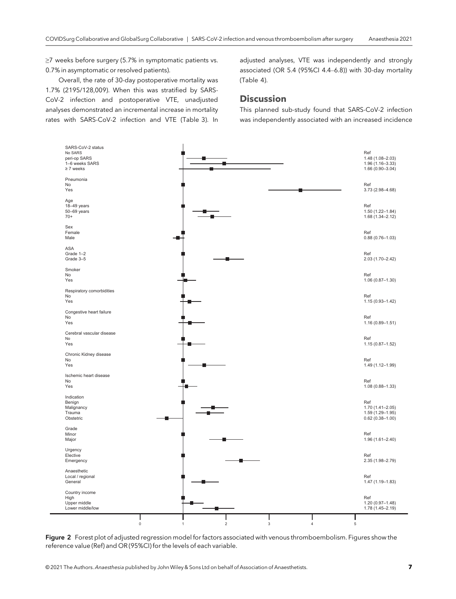≥7 weeks before surgery (5.7% in symptomatic patients vs. 0.7% in asymptomatic or resolved patients).

Overall, the rate of 30-day postoperative mortality was 1.7% (2195/128,009). When this was stratified by SARS-CoV-2 infection and postoperative VTE, unadjusted analyses demonstrated an incremental increase in mortality rates with SARS-CoV-2 infection and VTE (Table 3). In adjusted analyses, VTE was independently and strongly associated (OR 5.4 (95%CI 4.4–6.8)) with 30-day mortality (Table 4).

#### **Discussion**

This planned sub-study found that SARS-CoV-2 infection was independently associated with an increased incidence



Figure 2 Forest plot of adjusted regression model for factors associated with venous thromboembolism. Figures show the reference value (Ref) and OR (95%CI) for the levels of each variable.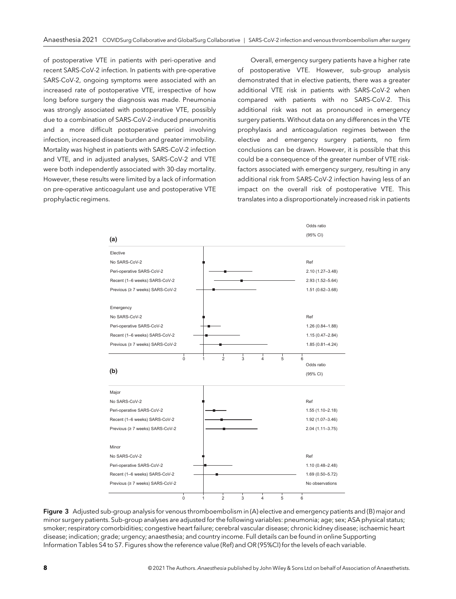of postoperative VTE in patients with peri-operative and recent SARS-CoV-2 infection. In patients with pre-operative SARS-CoV-2, ongoing symptoms were associated with an increased rate of postoperative VTE, irrespective of how long before surgery the diagnosis was made. Pneumonia was strongly associated with postoperative VTE, possibly due to a combination of SARS-CoV-2-induced pneumonitis and a more difficult postoperative period involving infection, increased disease burden and greater immobility. Mortality was highest in patients with SARS-CoV-2 infection and VTE, and in adjusted analyses, SARS-CoV-2 and VTE were both independently associated with 30-day mortality. However, these results were limited by a lack of information on pre-operative anticoagulant use and postoperative VTE prophylactic regimens.

Overall, emergency surgery patients have a higher rate of postoperative VTE. However, sub-group analysis demonstrated that in elective patients, there was a greater additional VTE risk in patients with SARS-CoV-2 when compared with patients with no SARS-CoV-2. This additional risk was not as pronounced in emergency surgery patients. Without data on any differences in the VTE prophylaxis and anticoagulation regimes between the elective and emergency surgery patients, no firm conclusions can be drawn. However, it is possible that this could be a consequence of the greater number of VTE riskfactors associated with emergency surgery, resulting in any additional risk from SARS-CoV-2 infection having less of an impact on the overall risk of postoperative VTE. This translates into a disproportionately increased risk in patients



Figure 3 Adjusted sub-group analysis for venous thromboembolism in (A) elective and emergency patients and (B) major and minor surgery patients. Sub-group analyses are adjusted for the following variables: pneumonia; age; sex; ASA physical status; smoker; respiratory comorbidities; congestive heart failure; cerebral vascular disease; chronic kidney disease; ischaemic heart disease; indication; grade; urgency; anaesthesia; and country income. Full details can be found in online Supporting Information Tables S4 to S7. Figures show the reference value (Ref) and OR (95%CI) for the levels of each variable.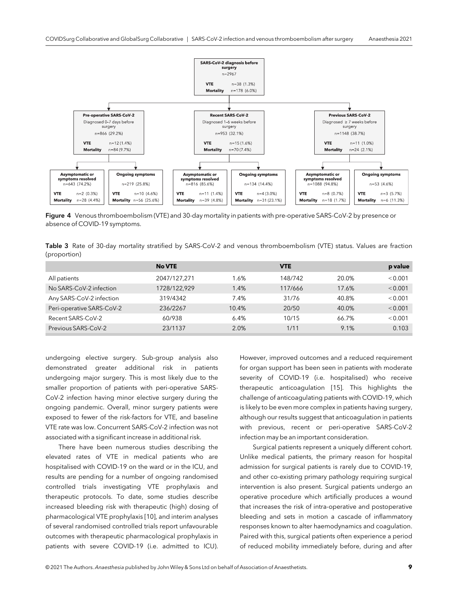

Figure 4 Venous thromboembolism (VTE) and 30-day mortality in patients with pre-operative SARS-CoV-2 by presence or absence of COVID-19 symptoms.

Table 3 Rate of 30-day mortality stratified by SARS-CoV-2 and venous thromboembolism (VTE) status. Values are fraction (proportion)

|                           | <b>No VTE</b> |       | <b>VTE</b> |       | p value |
|---------------------------|---------------|-------|------------|-------|---------|
| All patients              | 2047/127,271  | 1.6%  | 148/742    | 20.0% | < 0.001 |
| No SARS-CoV-2 infection   | 1728/122,929  | 1.4%  | 117/666    | 17.6% | < 0.001 |
| Any SARS-CoV-2 infection  | 319/4342      | 7.4%  | 31/76      | 40.8% | < 0.001 |
| Peri-operative SARS-CoV-2 | 236/2267      | 10.4% | 20/50      | 40.0% | < 0.001 |
| Recent SARS-CoV-2         | 60/938        | 6.4%  | 10/15      | 66.7% | < 0.001 |
| Previous SARS-CoV-2       | 23/1137       | 2.0%  | 1/11       | 9.1%  | 0.103   |

undergoing elective surgery. Sub-group analysis also demonstrated greater additional risk in patients undergoing major surgery. This is most likely due to the smaller proportion of patients with peri-operative SARS-CoV-2 infection having minor elective surgery during the ongoing pandemic. Overall, minor surgery patients were exposed to fewer of the risk-factors for VTE, and baseline VTE rate was low. Concurrent SARS-CoV-2 infection was not associated with a significant increase in additional risk.

There have been numerous studies describing the elevated rates of VTE in medical patients who are hospitalised with COVID-19 on the ward or in the ICU, and results are pending for a number of ongoing randomised controlled trials investigating VTE prophylaxis and therapeutic protocols. To date, some studies describe increased bleeding risk with therapeutic (high) dosing of pharmacological VTE prophylaxis [10], and interim analyses of several randomised controlled trials report unfavourable outcomes with therapeutic pharmacological prophylaxis in patients with severe COVID-19 (i.e. admitted to ICU).

However, improved outcomes and a reduced requirement for organ support has been seen in patients with moderate severity of COVID-19 (i.e. hospitalised) who receive therapeutic anticoagulation [15]. This highlights the challenge of anticoagulating patients with COVID-19, which is likely to be even more complex in patients having surgery, although our results suggest that anticoagulation in patients with previous, recent or peri-operative SARS-CoV-2 infection may be an important consideration.

Surgical patients represent a uniquely different cohort. Unlike medical patients, the primary reason for hospital admission for surgical patients is rarely due to COVID-19, and other co-existing primary pathology requiring surgical intervention is also present. Surgical patients undergo an operative procedure which artificially produces a wound that increases the risk of intra-operative and postoperative bleeding and sets in motion a cascade of inflammatory responses known to alter haemodynamics and coagulation. Paired with this, surgical patients often experience a period of reduced mobility immediately before, during and after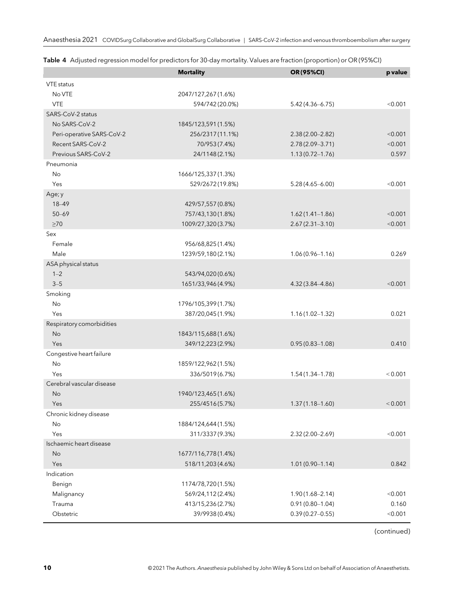|                           | <b>Mortality</b>    | OR(95%CI)           | p value |
|---------------------------|---------------------|---------------------|---------|
| VTE status                |                     |                     |         |
| No VTE                    | 2047/127,267(1.6%)  |                     |         |
| <b>VTE</b>                | 594/742 (20.0%)     | $5.42(4.36 - 6.75)$ | < 0.001 |
| SARS-CoV-2 status         |                     |                     |         |
| No SARS-CoV-2             | 1845/123,591 (1.5%) |                     |         |
| Peri-operative SARS-CoV-2 | 256/2317 (11.1%)    | $2.38(2.00 - 2.82)$ | < 0.001 |
| Recent SARS-CoV-2         | 70/953 (7.4%)       | $2.78(2.09 - 3.71)$ | < 0.001 |
| Previous SARS-CoV-2       | 24/1148 (2.1%)      | $1.13(0.72 - 1.76)$ | 0.597   |
| Pneumonia                 |                     |                     |         |
| No                        | 1666/125,337(1.3%)  |                     |         |
| Yes                       | 529/2672 (19.8%)    | $5.28(4.65 - 6.00)$ | < 0.001 |
| Age; y                    |                     |                     |         |
| 18-49                     | 429/57,557 (0.8%)   |                     |         |
| $50 - 69$                 | 757/43,130 (1.8%)   | $1.62(1.41 - 1.86)$ | < 0.001 |
| $\geq 70$                 | 1009/27,320(3.7%)   | $2.67(2.31 - 3.10)$ | < 0.001 |
| Sex                       |                     |                     |         |
| Female                    | 956/68,825 (1.4%)   |                     |         |
| Male                      | 1239/59,180(2.1%)   | $1.06(0.96 - 1.16)$ | 0.269   |
| ASA physical status       |                     |                     |         |
| $1 - 2$                   | 543/94,020 (0.6%)   |                     |         |
| $3 - 5$                   | 1651/33,946 (4.9%)  | $4.32(3.84 - 4.86)$ | < 0.001 |
| Smoking                   |                     |                     |         |
| No                        | 1796/105,399(1.7%)  |                     |         |
| Yes                       | 387/20,045 (1.9%)   | $1.16(1.02 - 1.32)$ | 0.021   |
| Respiratory comorbidities |                     |                     |         |
| <b>No</b>                 | 1843/115,688(1.6%)  |                     |         |
| Yes                       | 349/12,223 (2.9%)   | $0.95(0.83 - 1.08)$ | 0.410   |
| Congestive heart failure  |                     |                     |         |
| No                        | 1859/122,962(1.5%)  |                     |         |
| Yes                       | 336/5019 (6.7%)     | $1.54(1.34 - 1.78)$ | < 0.001 |
| Cerebral vascular disease |                     |                     |         |
| No                        | 1940/123,465 (1.6%) |                     |         |
| Yes                       | 255/4516 (5.7%)     | $1.37(1.18 - 1.60)$ | < 0.001 |
| Chronic kidney disease    |                     |                     |         |
| No                        | 1884/124,644 (1.5%) |                     |         |
| Yes                       | 311/3337 (9.3%)     | 2.32 (2.00-2.69)    | < 0.001 |
| Ischaemic heart disease   |                     |                     |         |
| <b>No</b>                 | 1677/116,778 (1.4%) |                     |         |
| Yes                       | 518/11,203 (4.6%)   | $1.01(0.90 - 1.14)$ | 0.842   |
| Indication                |                     |                     |         |
| Benign                    | 1174/78,720 (1.5%)  |                     |         |
| Malignancy                | 569/24,112(2.4%)    | $1.90(1.68 - 2.14)$ | < 0.001 |
| Trauma                    | 413/15,236 (2.7%)   | $0.91(0.80 - 1.04)$ | 0.160   |
| Obstetric                 | 39/9938 (0.4%)      | $0.39(0.27 - 0.55)$ | < 0.001 |

Table 4 Adjusted regression model for predictors for 30-day mortality. Values are fraction (proportion) or OR (95%CI)

(continued)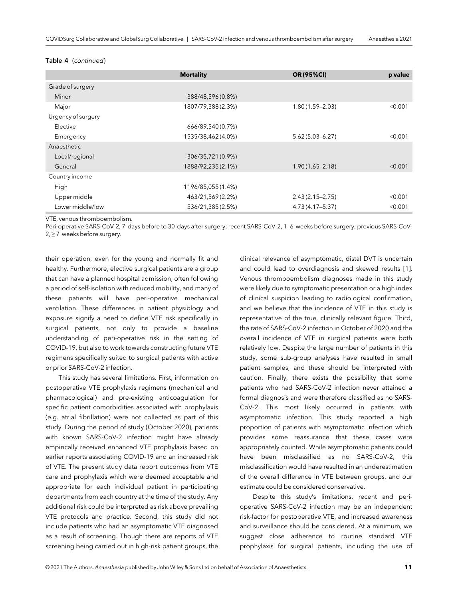#### Table 4 (continued)

|                    | <b>Mortality</b>   | OR (95%CI)          | p value |
|--------------------|--------------------|---------------------|---------|
| Grade of surgery   |                    |                     |         |
| Minor              | 388/48,596 (0.8%)  |                     |         |
| Major              | 1807/79,388 (2.3%) | $1.80(1.59 - 2.03)$ | < 0.001 |
| Urgency of surgery |                    |                     |         |
| Elective           | 666/89,540 (0.7%)  |                     |         |
| Emergency          | 1535/38,462 (4.0%) | $5.62(5.03 - 6.27)$ | < 0.001 |
| Anaesthetic        |                    |                     |         |
| Local/regional     | 306/35,721 (0.9%)  |                     |         |
| General            | 1888/92,235 (2.1%) | $1.90(1.65 - 2.18)$ | < 0.001 |
| Country income     |                    |                     |         |
| High               | 1196/85,055 (1.4%) |                     |         |
| Upper middle       | 463/21,569 (2.2%)  | $2.43(2.15 - 2.75)$ | < 0.001 |
| Lower middle/low   | 536/21,385 (2.5%)  | $4.73(4.17 - 5.37)$ | < 0.001 |

VTE, venous thromboembolism.

Peri-operative SARS-CoV-2, 7 days before to 30 days after surgery; recent SARS-CoV-2, 1–6 weeks before surgery; previous SARS-CoV- $2, \geq 7$  weeks before surgery.

their operation, even for the young and normally fit and healthy. Furthermore, elective surgical patients are a group that can have a planned hospital admission, often following a period of self-isolation with reduced mobility, and many of these patients will have peri-operative mechanical ventilation. These differences in patient physiology and exposure signify a need to define VTE risk specifically in surgical patients, not only to provide a baseline understanding of peri-operative risk in the setting of COVID-19, but also to work towards constructing future VTE regimens specifically suited to surgical patients with active or prior SARS-CoV-2 infection.

This study has several limitations. First, information on postoperative VTE prophylaxis regimens (mechanical and pharmacological) and pre-existing anticoagulation for specific patient comorbidities associated with prophylaxis (e.g. atrial fibrillation) were not collected as part of this study. During the period of study (October 2020), patients with known SARS-CoV-2 infection might have already empirically received enhanced VTE prophylaxis based on earlier reports associating COVID-19 and an increased risk of VTE. The present study data report outcomes from VTE care and prophylaxis which were deemed acceptable and appropriate for each individual patient in participating departments from each country at the time of the study. Any additional risk could be interpreted as risk above prevailing VTE protocols and practice. Second, this study did not include patients who had an asymptomatic VTE diagnosed as a result of screening. Though there are reports of VTE screening being carried out in high-risk patient groups, the

clinical relevance of asymptomatic, distal DVT is uncertain and could lead to overdiagnosis and skewed results [1]. Venous thromboembolism diagnoses made in this study were likely due to symptomatic presentation or a high index of clinical suspicion leading to radiological confirmation, and we believe that the incidence of VTE in this study is representative of the true, clinically relevant figure. Third, the rate of SARS-CoV-2 infection in October of 2020 and the overall incidence of VTE in surgical patients were both relatively low. Despite the large number of patients in this study, some sub-group analyses have resulted in small patient samples, and these should be interpreted with caution. Finally, there exists the possibility that some patients who had SARS-CoV-2 infection never attained a formal diagnosis and were therefore classified as no SARS-CoV-2. This most likely occurred in patients with asymptomatic infection. This study reported a high proportion of patients with asymptomatic infection which provides some reassurance that these cases were appropriately counted. While asymptomatic patients could have been misclassified as no SARS-CoV-2, this misclassification would have resulted in an underestimation of the overall difference in VTE between groups, and our estimate could be considered conservative.

Despite this study's limitations, recent and perioperative SARS-CoV-2 infection may be an independent risk-factor for postoperative VTE, and increased awareness and surveillance should be considered. At a minimum, we suggest close adherence to routine standard VTE prophylaxis for surgical patients, including the use of